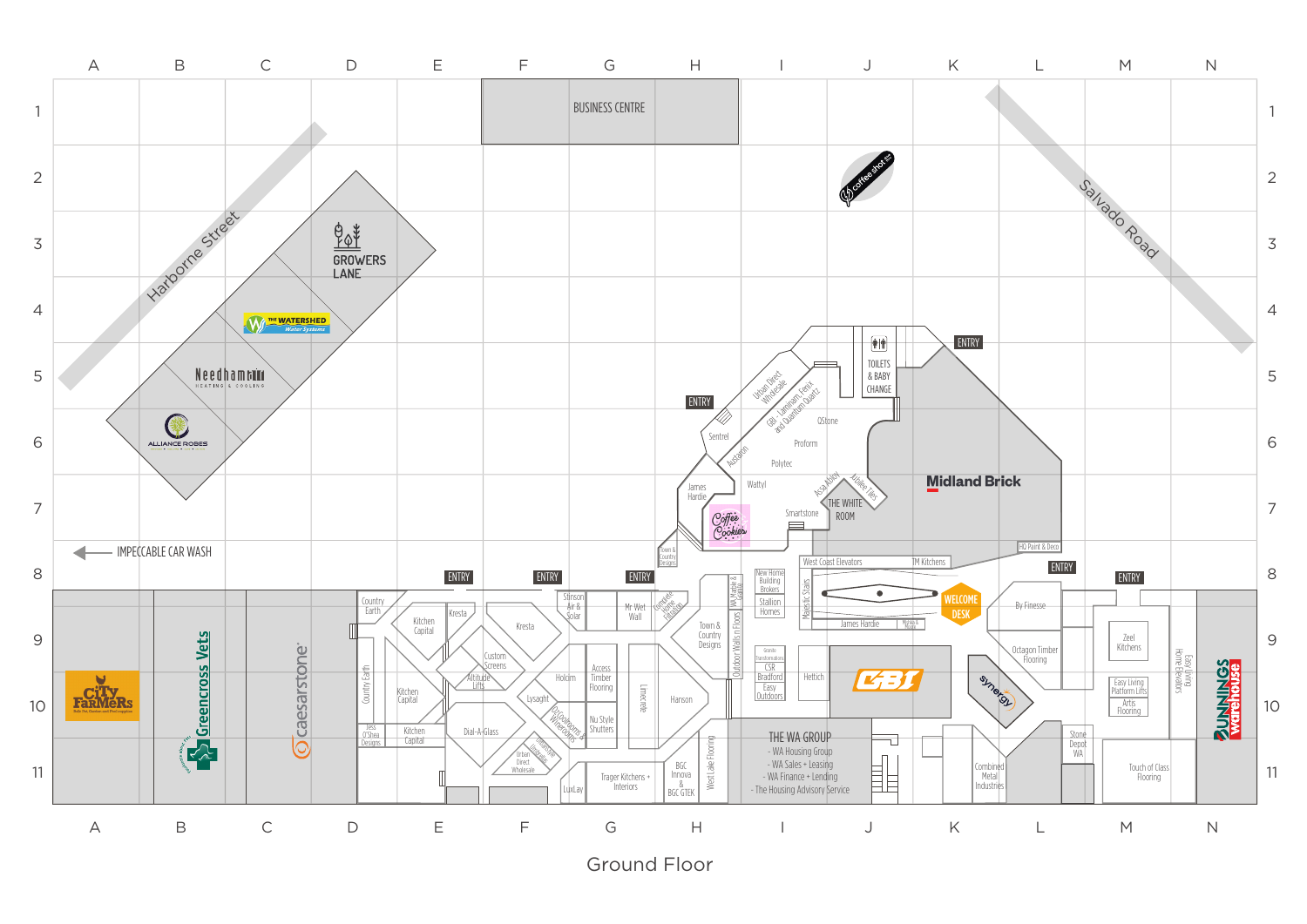

Ground Floor